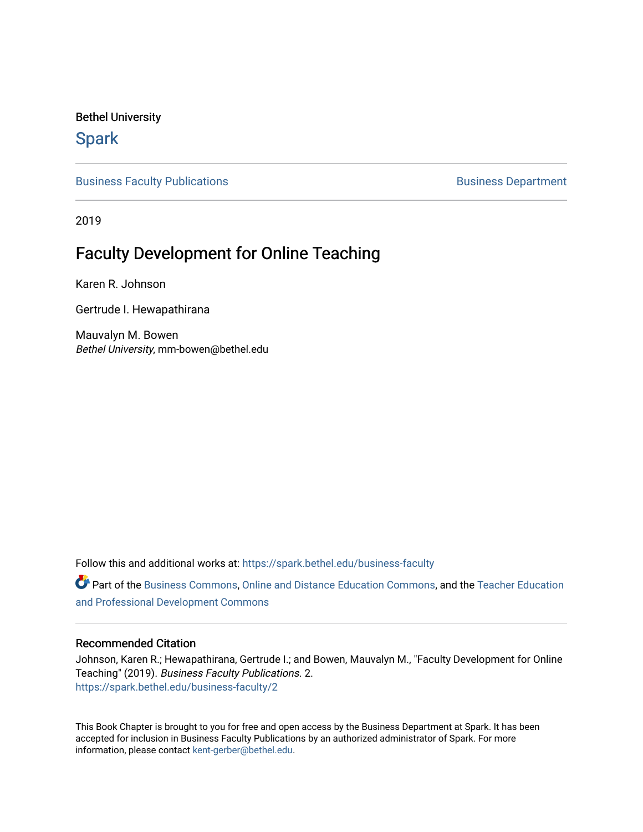Bethel University

# **Spark**

[Business Faculty Publications](https://spark.bethel.edu/business-faculty) **Business Department** 

2019

# Faculty Development for Online Teaching

Karen R. Johnson

Gertrude I. Hewapathirana

Mauvalyn M. Bowen Bethel University, mm-bowen@bethel.edu

Follow this and additional works at: [https://spark.bethel.edu/business-faculty](https://spark.bethel.edu/business-faculty?utm_source=spark.bethel.edu%2Fbusiness-faculty%2F2&utm_medium=PDF&utm_campaign=PDFCoverPages) 

Part of the [Business Commons](http://network.bepress.com/hgg/discipline/622?utm_source=spark.bethel.edu%2Fbusiness-faculty%2F2&utm_medium=PDF&utm_campaign=PDFCoverPages), [Online and Distance Education Commons,](http://network.bepress.com/hgg/discipline/1296?utm_source=spark.bethel.edu%2Fbusiness-faculty%2F2&utm_medium=PDF&utm_campaign=PDFCoverPages) and the [Teacher Education](http://network.bepress.com/hgg/discipline/803?utm_source=spark.bethel.edu%2Fbusiness-faculty%2F2&utm_medium=PDF&utm_campaign=PDFCoverPages) [and Professional Development Commons](http://network.bepress.com/hgg/discipline/803?utm_source=spark.bethel.edu%2Fbusiness-faculty%2F2&utm_medium=PDF&utm_campaign=PDFCoverPages)

# Recommended Citation

Johnson, Karen R.; Hewapathirana, Gertrude I.; and Bowen, Mauvalyn M., "Faculty Development for Online Teaching" (2019). Business Faculty Publications. 2. [https://spark.bethel.edu/business-faculty/2](https://spark.bethel.edu/business-faculty/2?utm_source=spark.bethel.edu%2Fbusiness-faculty%2F2&utm_medium=PDF&utm_campaign=PDFCoverPages) 

This Book Chapter is brought to you for free and open access by the Business Department at Spark. It has been accepted for inclusion in Business Faculty Publications by an authorized administrator of Spark. For more information, please contact [kent-gerber@bethel.edu.](mailto:kent-gerber@bethel.edu)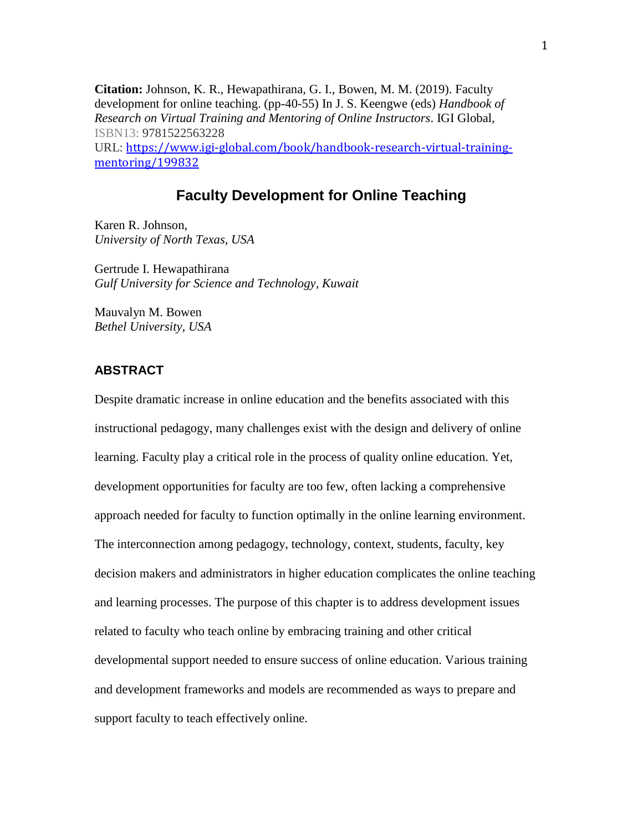**Citation:** Johnson, K. R., Hewapathirana, G. I., Bowen, M. M. (2019). Faculty development for online teaching. (pp-40-55) In J. S. Keengwe (eds) *Handbook of Research on Virtual Training and Mentoring of Online Instructors*. IGI Global, ISBN13: 9781522563228 URL: [https://www.igi-global.com/book/handbook-research-virtual-training](https://www.igi-global.com/book/handbook-research-virtual-training-mentoring/199832)[mentoring/199832](https://www.igi-global.com/book/handbook-research-virtual-training-mentoring/199832)

# **Faculty Development for Online Teaching**

Karen R. Johnson, *University of North Texas, USA*

Gertrude I. Hewapathirana *Gulf University for Science and Technology, Kuwait*

Mauvalyn M. Bowen *Bethel University, USA*

# **ABSTRACT**

Despite dramatic increase in online education and the benefits associated with this instructional pedagogy, many challenges exist with the design and delivery of online learning. Faculty play a critical role in the process of quality online education. Yet, development opportunities for faculty are too few, often lacking a comprehensive approach needed for faculty to function optimally in the online learning environment. The interconnection among pedagogy, technology, context, students, faculty, key decision makers and administrators in higher education complicates the online teaching and learning processes. The purpose of this chapter is to address development issues related to faculty who teach online by embracing training and other critical developmental support needed to ensure success of online education. Various training and development frameworks and models are recommended as ways to prepare and support faculty to teach effectively online.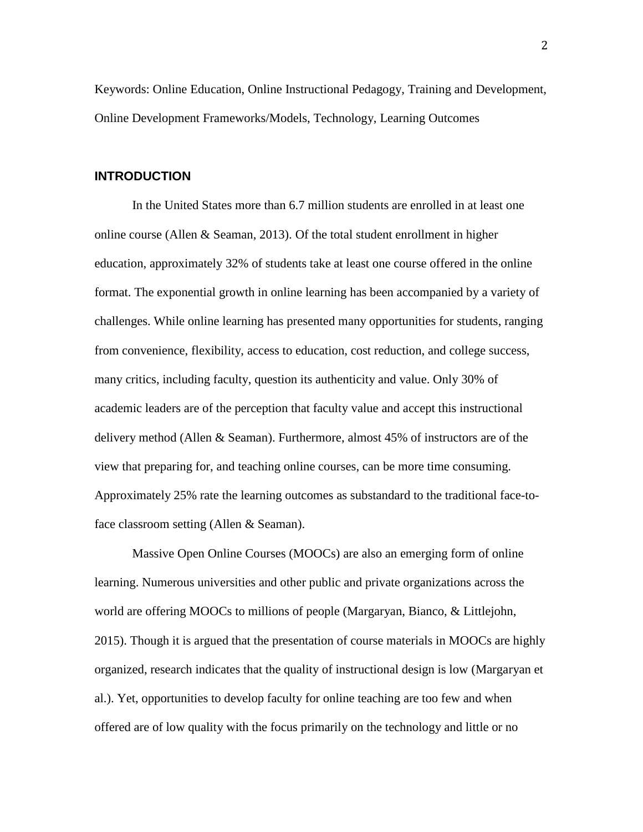Keywords: Online Education, Online Instructional Pedagogy, Training and Development, Online Development Frameworks/Models, Technology, Learning Outcomes

# **INTRODUCTION**

In the United States more than 6.7 million students are enrolled in at least one online course (Allen & Seaman, 2013). Of the total student enrollment in higher education, approximately 32% of students take at least one course offered in the online format. The exponential growth in online learning has been accompanied by a variety of challenges. While online learning has presented many opportunities for students, ranging from convenience, flexibility, access to education, cost reduction, and college success, many critics, including faculty, question its authenticity and value. Only 30% of academic leaders are of the perception that faculty value and accept this instructional delivery method (Allen & Seaman). Furthermore, almost 45% of instructors are of the view that preparing for, and teaching online courses, can be more time consuming. Approximately 25% rate the learning outcomes as substandard to the traditional face-toface classroom setting (Allen & Seaman).

Massive Open Online Courses (MOOCs) are also an emerging form of online learning. Numerous universities and other public and private organizations across the world are offering MOOCs to millions of people (Margaryan, Bianco, & Littlejohn, 2015). Though it is argued that the presentation of course materials in MOOCs are highly organized, research indicates that the quality of instructional design is low (Margaryan et al.). Yet, opportunities to develop faculty for online teaching are too few and when offered are of low quality with the focus primarily on the technology and little or no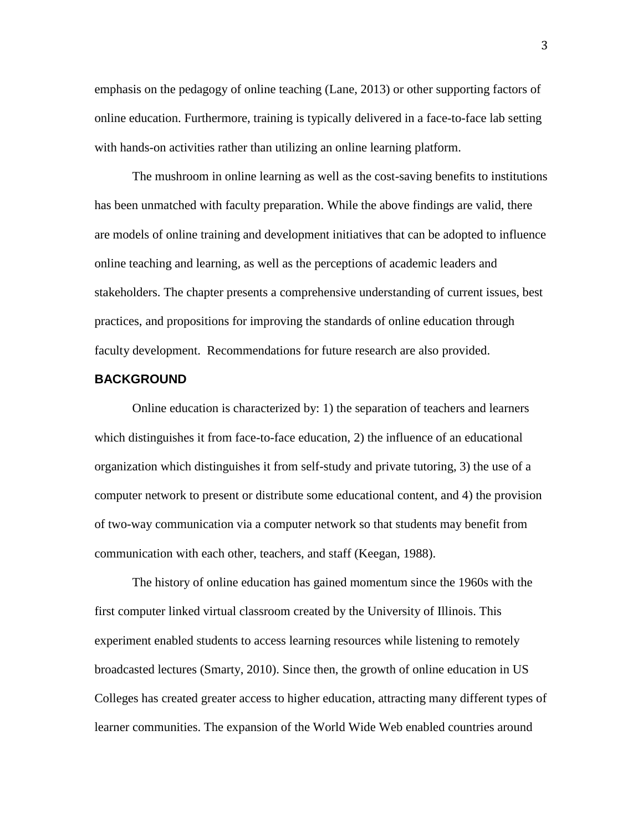emphasis on the pedagogy of online teaching (Lane, 2013) or other supporting factors of online education. Furthermore, training is typically delivered in a face-to-face lab setting with hands-on activities rather than utilizing an online learning platform.

The mushroom in online learning as well as the cost-saving benefits to institutions has been unmatched with faculty preparation. While the above findings are valid, there are models of online training and development initiatives that can be adopted to influence online teaching and learning, as well as the perceptions of academic leaders and stakeholders. The chapter presents a comprehensive understanding of current issues, best practices, and propositions for improving the standards of online education through faculty development. Recommendations for future research are also provided.

# **BACKGROUND**

Online education is characterized by: 1) the separation of teachers and learners which distinguishes it from face-to-face education, 2) the influence of an educational organization which distinguishes it from self-study and private tutoring, 3) the use of a computer network to present or distribute some educational content, and 4) the provision of two-way communication via a computer network so that students may benefit from communication with each other, teachers, and staff (Keegan, 1988).

The history of online education has gained momentum since the 1960s with the first computer linked virtual classroom created by the University of Illinois. This experiment enabled students to access learning resources while listening to remotely broadcasted lectures (Smarty, 2010). Since then, the growth of online education in US Colleges has created greater access to higher education, attracting many different types of learner communities. The expansion of the World Wide Web enabled countries around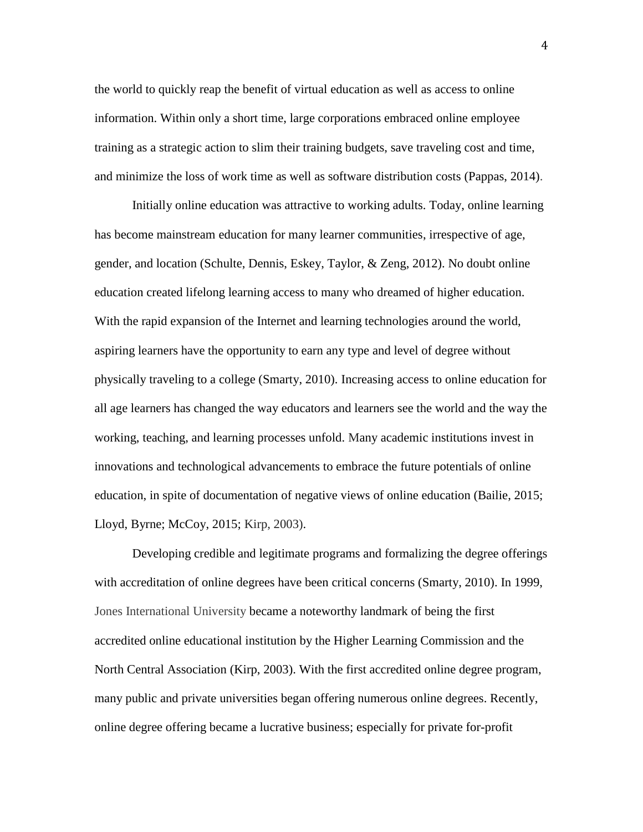the world to quickly reap the benefit of virtual education as well as access to online information. Within only a short time, large corporations embraced online employee training as a strategic action to slim their training budgets, save traveling cost and time, and minimize the loss of work time as well as software distribution costs (Pappas, 2014).

Initially online education was attractive to working adults. Today, online learning has become mainstream education for many learner communities, irrespective of age, gender, and location (Schulte, Dennis, Eskey, Taylor, & Zeng, 2012). No doubt online education created lifelong learning access to many who dreamed of higher education. With the rapid expansion of the Internet and learning technologies around the world, aspiring learners have the opportunity to earn any type and level of degree without physically traveling to a college (Smarty, 2010). Increasing access to online education for all age learners has changed the way educators and learners see the world and the way the working, teaching, and learning processes unfold. Many academic institutions invest in innovations and technological advancements to embrace the future potentials of online education, in spite of documentation of negative views of online education (Bailie, 2015; Lloyd, Byrne; McCoy, 2015; Kirp, 2003).

Developing credible and legitimate programs and formalizing the degree offerings with accreditation of online degrees have been critical concerns (Smarty, 2010). In 1999, Jones International University became a noteworthy landmark of being the first accredited online educational institution by the Higher Learning Commission and the North Central Association (Kirp, 2003). With the first accredited online degree program, many public and private universities began offering numerous online degrees. Recently, online degree offering became a lucrative business; especially for private for-profit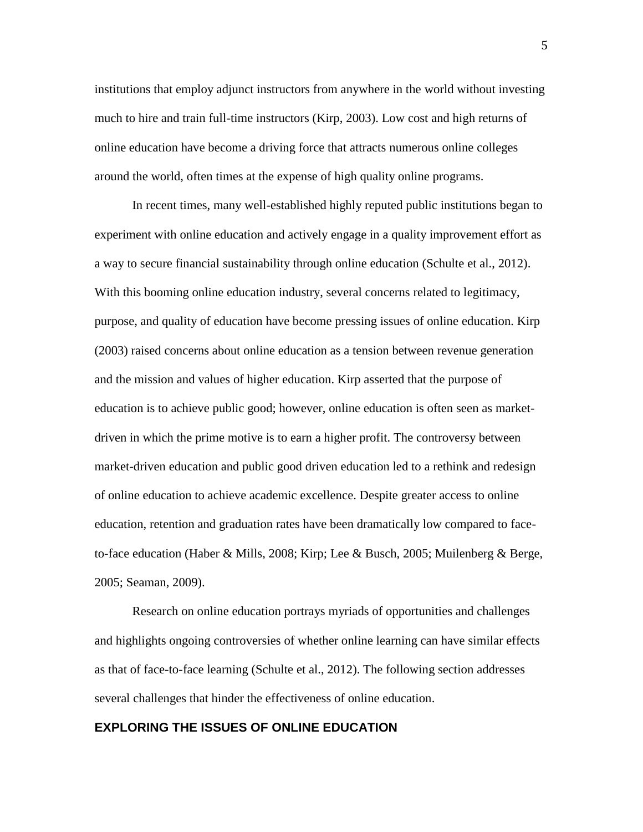institutions that employ adjunct instructors from anywhere in the world without investing much to hire and train full-time instructors (Kirp, 2003). Low cost and high returns of online education have become a driving force that attracts numerous online colleges around the world, often times at the expense of high quality online programs.

In recent times, many well-established highly reputed public institutions began to experiment with online education and actively engage in a quality improvement effort as a way to secure financial sustainability through online education (Schulte et al., 2012). With this booming online education industry, several concerns related to legitimacy, purpose, and quality of education have become pressing issues of online education. Kirp (2003) raised concerns about online education as a tension between revenue generation and the mission and values of higher education. Kirp asserted that the purpose of education is to achieve public good; however, online education is often seen as marketdriven in which the prime motive is to earn a higher profit. The controversy between market-driven education and public good driven education led to a rethink and redesign of online education to achieve academic excellence. Despite greater access to online education, retention and graduation rates have been dramatically low compared to faceto-face education (Haber & Mills, 2008; Kirp; Lee & Busch, 2005; Muilenberg & Berge, 2005; Seaman, 2009).

Research on online education portrays myriads of opportunities and challenges and highlights ongoing controversies of whether online learning can have similar effects as that of face-to-face learning (Schulte et al., 2012). The following section addresses several challenges that hinder the effectiveness of online education.

# **EXPLORING THE ISSUES OF ONLINE EDUCATION**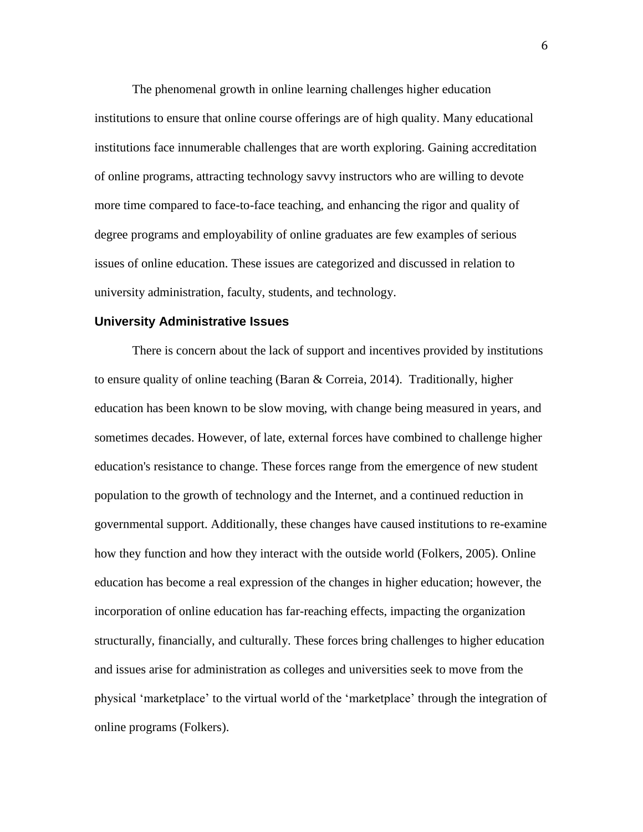The phenomenal growth in online learning challenges higher education institutions to ensure that online course offerings are of high quality. Many educational institutions face innumerable challenges that are worth exploring. Gaining accreditation of online programs, attracting technology savvy instructors who are willing to devote more time compared to face-to-face teaching, and enhancing the rigor and quality of degree programs and employability of online graduates are few examples of serious issues of online education. These issues are categorized and discussed in relation to university administration, faculty, students, and technology.

#### **University Administrative Issues**

There is concern about the lack of support and incentives provided by institutions to ensure quality of online teaching (Baran & Correia, 2014). Traditionally, higher education has been known to be slow moving, with change being measured in years, and sometimes decades. However, of late, external forces have combined to challenge higher education's resistance to change. These forces range from the emergence of new student population to the growth of technology and the Internet, and a continued reduction in governmental support. Additionally, these changes have caused institutions to re-examine how they function and how they interact with the outside world (Folkers, 2005). Online education has become a real expression of the changes in higher education; however, the incorporation of online education has far-reaching effects, impacting the organization structurally, financially, and culturally. These forces bring challenges to higher education and issues arise for administration as colleges and universities seek to move from the physical 'marketplace' to the virtual world of the 'marketplace' through the integration of online programs (Folkers).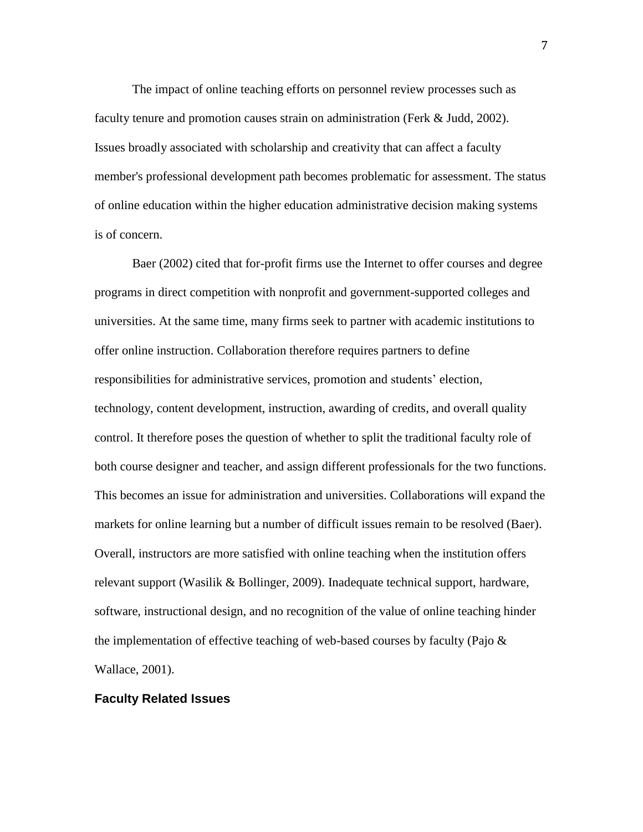The impact of online teaching efforts on personnel review processes such as faculty tenure and promotion causes strain on administration (Ferk & Judd, 2002). Issues broadly associated with scholarship and creativity that can affect a faculty member's professional development path becomes problematic for assessment. The status of online education within the higher education administrative decision making systems is of concern.

Baer (2002) cited that for-profit firms use the Internet to offer courses and degree programs in direct competition with nonprofit and government-supported colleges and universities. At the same time, many firms seek to partner with academic institutions to offer online instruction. Collaboration therefore requires partners to define responsibilities for administrative services, promotion and students' election, technology, content development, instruction, awarding of credits, and overall quality control. It therefore poses the question of whether to split the traditional faculty role of both course designer and teacher, and assign different professionals for the two functions. This becomes an issue for administration and universities. Collaborations will expand the markets for online learning but a number of difficult issues remain to be resolved (Baer). Overall, instructors are more satisfied with online teaching when the institution offers relevant support (Wasilik & Bollinger, 2009). Inadequate technical support, hardware, software, instructional design, and no recognition of the value of online teaching hinder the implementation of effective teaching of web-based courses by faculty (Pajo  $\&$ Wallace, 2001).

#### **Faculty Related Issues**

7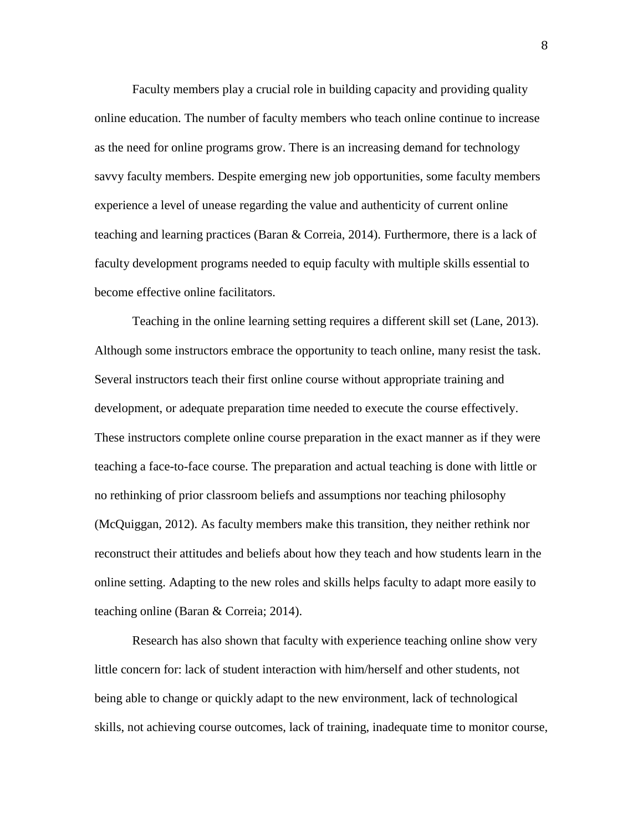Faculty members play a crucial role in building capacity and providing quality online education. The number of faculty members who teach online continue to increase as the need for online programs grow. There is an increasing demand for technology savvy faculty members. Despite emerging new job opportunities, some faculty members experience a level of unease regarding the value and authenticity of current online teaching and learning practices (Baran & Correia, 2014). Furthermore, there is a lack of faculty development programs needed to equip faculty with multiple skills essential to become effective online facilitators.

Teaching in the online learning setting requires a different skill set (Lane, 2013). Although some instructors embrace the opportunity to teach online, many resist the task. Several instructors teach their first online course without appropriate training and development, or adequate preparation time needed to execute the course effectively. These instructors complete online course preparation in the exact manner as if they were teaching a face-to-face course. The preparation and actual teaching is done with little or no rethinking of prior classroom beliefs and assumptions nor teaching philosophy (McQuiggan, 2012). As faculty members make this transition, they neither rethink nor reconstruct their attitudes and beliefs about how they teach and how students learn in the online setting. Adapting to the new roles and skills helps faculty to adapt more easily to teaching online (Baran & Correia; 2014).

Research has also shown that faculty with experience teaching online show very little concern for: lack of student interaction with him/herself and other students, not being able to change or quickly adapt to the new environment, lack of technological skills, not achieving course outcomes, lack of training, inadequate time to monitor course,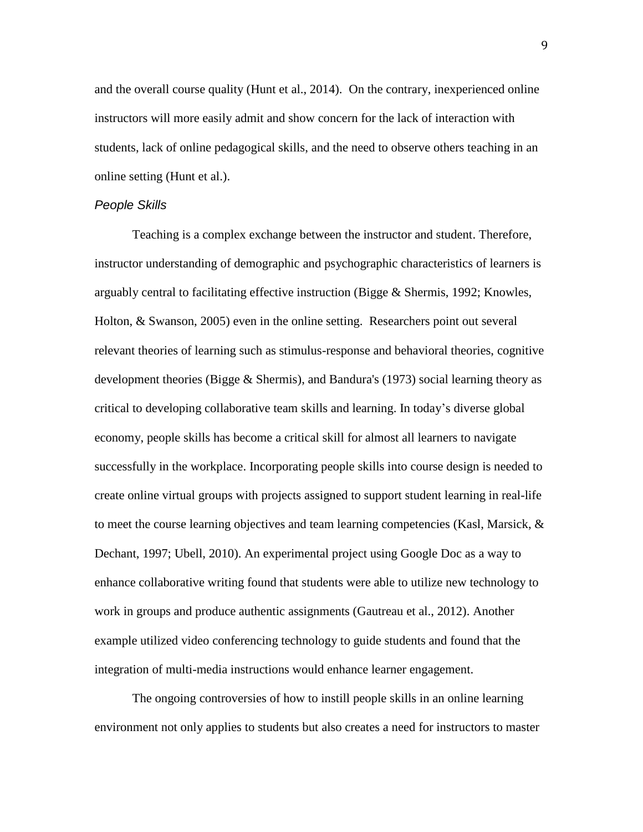and the overall course quality (Hunt et al., 2014). On the contrary, inexperienced online instructors will more easily admit and show concern for the lack of interaction with students, lack of online pedagogical skills, and the need to observe others teaching in an online setting (Hunt et al.).

#### *People Skills*

Teaching is a complex exchange between the instructor and student. Therefore, instructor understanding of demographic and psychographic characteristics of learners is arguably central to facilitating effective instruction (Bigge & Shermis, 1992; Knowles, Holton, & Swanson, 2005) even in the online setting. Researchers point out several relevant theories of learning such as stimulus-response and behavioral theories, cognitive development theories (Bigge & Shermis), and Bandura's (1973) social learning theory as critical to developing collaborative team skills and learning. In today's diverse global economy, people skills has become a critical skill for almost all learners to navigate successfully in the workplace. Incorporating people skills into course design is needed to create online virtual groups with projects assigned to support student learning in real-life to meet the course learning objectives and team learning competencies (Kasl, Marsick,  $\&$ Dechant, 1997; Ubell, 2010). An experimental project using Google Doc as a way to enhance collaborative writing found that students were able to utilize new technology to work in groups and produce authentic assignments (Gautreau et al., 2012). Another example utilized video conferencing technology to guide students and found that the integration of multi-media instructions would enhance learner engagement.

The ongoing controversies of how to instill people skills in an online learning environment not only applies to students but also creates a need for instructors to master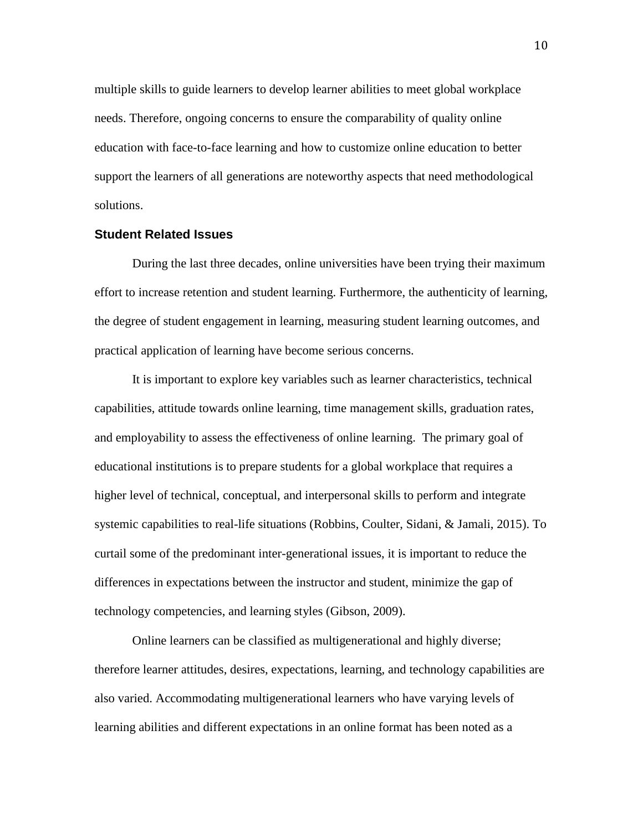multiple skills to guide learners to develop learner abilities to meet global workplace needs. Therefore, ongoing concerns to ensure the comparability of quality online education with face-to-face learning and how to customize online education to better support the learners of all generations are noteworthy aspects that need methodological solutions.

#### **Student Related Issues**

During the last three decades, online universities have been trying their maximum effort to increase retention and student learning. Furthermore, the authenticity of learning, the degree of student engagement in learning, measuring student learning outcomes, and practical application of learning have become serious concerns.

It is important to explore key variables such as learner characteristics, technical capabilities, attitude towards online learning, time management skills, graduation rates, and employability to assess the effectiveness of online learning. The primary goal of educational institutions is to prepare students for a global workplace that requires a higher level of technical, conceptual, and interpersonal skills to perform and integrate systemic capabilities to real-life situations (Robbins, Coulter, Sidani, & Jamali, 2015). To curtail some of the predominant inter-generational issues, it is important to reduce the differences in expectations between the instructor and student, minimize the gap of technology competencies, and learning styles (Gibson, 2009).

Online learners can be classified as multigenerational and highly diverse; therefore learner attitudes, desires, expectations, learning, and technology capabilities are also varied. Accommodating multigenerational learners who have varying levels of learning abilities and different expectations in an online format has been noted as a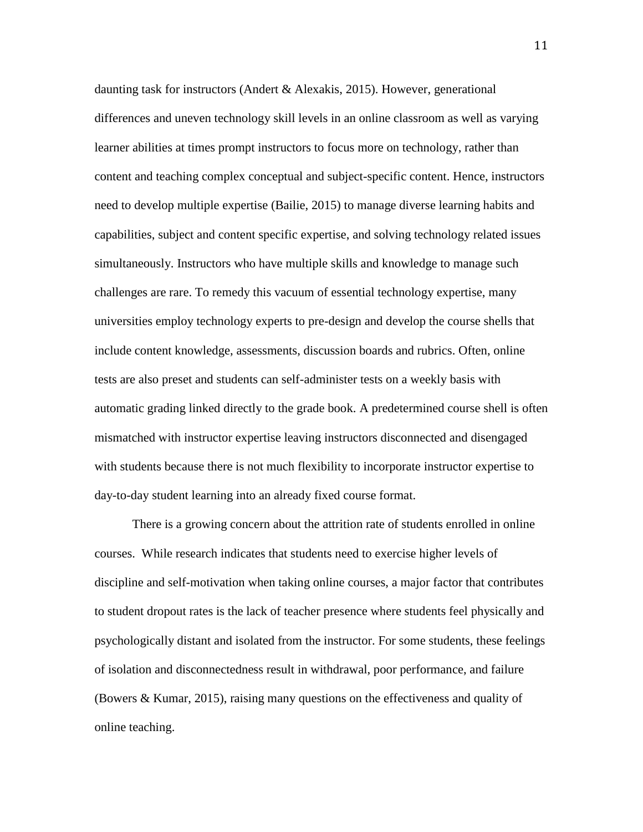daunting task for instructors (Andert & Alexakis, 2015). However, generational differences and uneven technology skill levels in an online classroom as well as varying learner abilities at times prompt instructors to focus more on technology, rather than content and teaching complex conceptual and subject-specific content. Hence, instructors need to develop multiple expertise (Bailie, 2015) to manage diverse learning habits and capabilities, subject and content specific expertise, and solving technology related issues simultaneously. Instructors who have multiple skills and knowledge to manage such challenges are rare. To remedy this vacuum of essential technology expertise, many universities employ technology experts to pre-design and develop the course shells that include content knowledge, assessments, discussion boards and rubrics. Often, online tests are also preset and students can self-administer tests on a weekly basis with automatic grading linked directly to the grade book. A predetermined course shell is often mismatched with instructor expertise leaving instructors disconnected and disengaged with students because there is not much flexibility to incorporate instructor expertise to day-to-day student learning into an already fixed course format.

There is a growing concern about the attrition rate of students enrolled in online courses. While research indicates that students need to exercise higher levels of discipline and self-motivation when taking online courses, a major factor that contributes to student dropout rates is the lack of teacher presence where students feel physically and psychologically distant and isolated from the instructor. For some students, these feelings of isolation and disconnectedness result in withdrawal, poor performance, and failure (Bowers & Kumar, 2015), raising many questions on the effectiveness and quality of online teaching.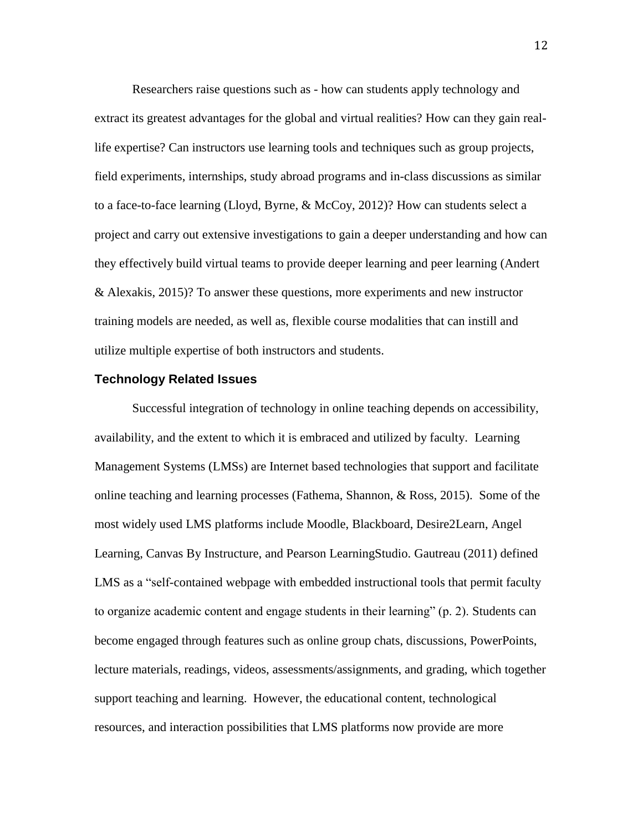Researchers raise questions such as - how can students apply technology and extract its greatest advantages for the global and virtual realities? How can they gain reallife expertise? Can instructors use learning tools and techniques such as group projects, field experiments, internships, study abroad programs and in-class discussions as similar to a face-to-face learning (Lloyd, Byrne, & McCoy, 2012)? How can students select a project and carry out extensive investigations to gain a deeper understanding and how can they effectively build virtual teams to provide deeper learning and peer learning (Andert & Alexakis, 2015)? To answer these questions, more experiments and new instructor training models are needed, as well as, flexible course modalities that can instill and utilize multiple expertise of both instructors and students.

#### **Technology Related Issues**

Successful integration of technology in online teaching depends on accessibility, availability, and the extent to which it is embraced and utilized by faculty. Learning Management Systems (LMSs) are Internet based technologies that support and facilitate online teaching and learning processes (Fathema, Shannon, & Ross, 2015). Some of the most widely used LMS platforms include Moodle, Blackboard, Desire2Learn, Angel Learning, Canvas By Instructure, and Pearson LearningStudio. Gautreau (2011) defined LMS as a "self-contained webpage with embedded instructional tools that permit faculty to organize academic content and engage students in their learning" (p. 2). Students can become engaged through features such as online group chats, discussions, PowerPoints, lecture materials, readings, videos, assessments/assignments, and grading, which together support teaching and learning. However, the educational content, technological resources, and interaction possibilities that LMS platforms now provide are more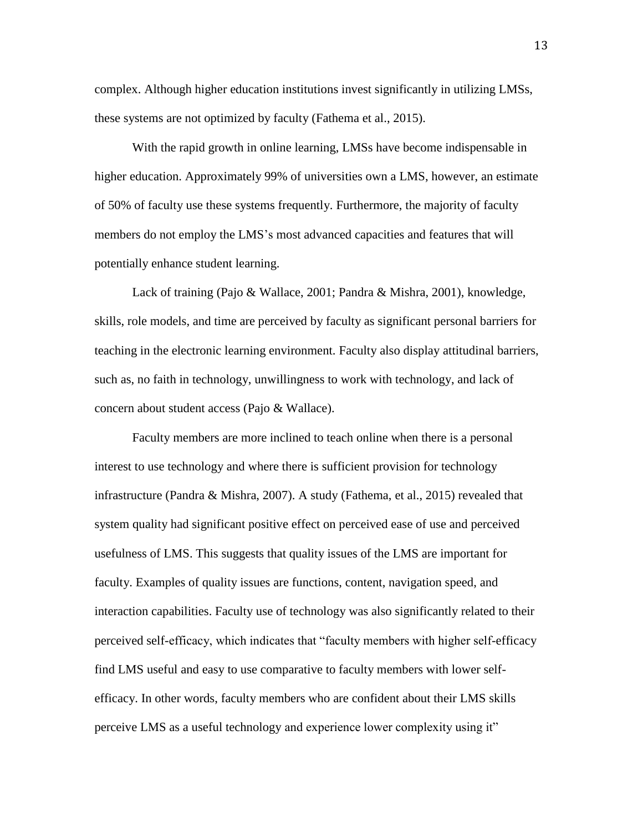complex. Although higher education institutions invest significantly in utilizing LMSs, these systems are not optimized by faculty (Fathema et al., 2015).

With the rapid growth in online learning, LMSs have become indispensable in higher education. Approximately 99% of universities own a LMS, however, an estimate of 50% of faculty use these systems frequently. Furthermore, the majority of faculty members do not employ the LMS's most advanced capacities and features that will potentially enhance student learning.

Lack of training (Pajo & Wallace, 2001; Pandra & Mishra, 2001), knowledge, skills, role models, and time are perceived by faculty as significant personal barriers for teaching in the electronic learning environment. Faculty also display attitudinal barriers, such as, no faith in technology, unwillingness to work with technology, and lack of concern about student access (Pajo & Wallace).

Faculty members are more inclined to teach online when there is a personal interest to use technology and where there is sufficient provision for technology infrastructure (Pandra & Mishra, 2007). A study (Fathema, et al., 2015) revealed that system quality had significant positive effect on perceived ease of use and perceived usefulness of LMS. This suggests that quality issues of the LMS are important for faculty. Examples of quality issues are functions, content, navigation speed, and interaction capabilities. Faculty use of technology was also significantly related to their perceived self-efficacy, which indicates that "faculty members with higher self-efficacy find LMS useful and easy to use comparative to faculty members with lower selfefficacy. In other words, faculty members who are confident about their LMS skills perceive LMS as a useful technology and experience lower complexity using it"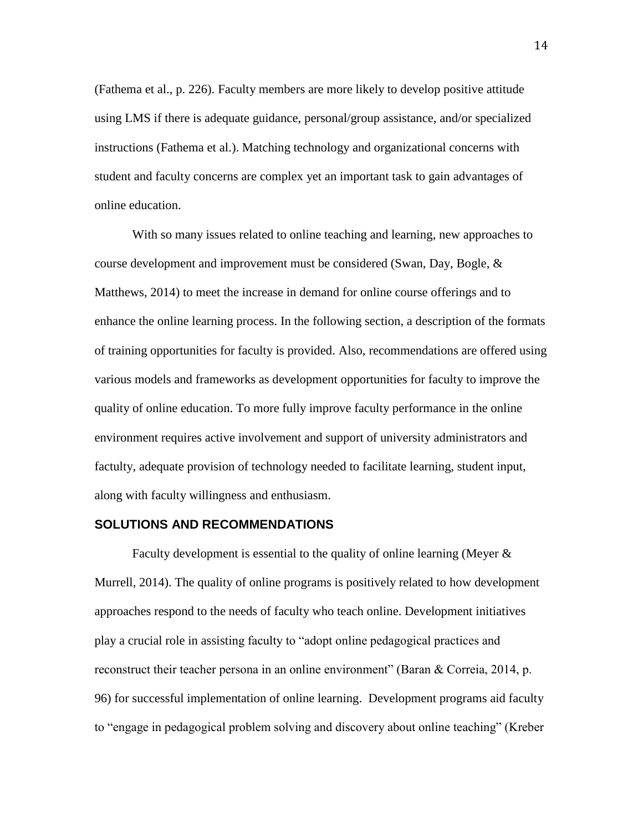(Fathema et al., p. 226). Faculty members are more likely to develop positive attitude using LMS if there is adequate guidance, personal/group assistance, and/or specialized instructions (Fathema et al.). Matching technology and organizational concerns with student and faculty concerns are complex yet an important task to gain advantages of online education.

With so many issues related to online teaching and learning, new approaches to course development and improvement must be considered (Swan, Day, Bogle, & Matthews, 2014) to meet the increase in demand for online course offerings and to enhance the online learning process. In the following section, a description of the formats of training opportunities for faculty is provided. Also, recommendations are offered using various models and frameworks as development opportunities for faculty to improve the quality of online education. To more fully improve faculty performance in the online environment requires active involvement and support of university administrators and factulty, adequate provision of technology needed to facilitate learning, student input, along with faculty willingness and enthusiasm.

#### **SOLUTIONS AND RECOMMENDATIONS**

Faculty development is essential to the quality of online learning (Meyer & Murrell, 2014). The quality of online programs is positively related to how development approaches respond to the needs of faculty who teach online. Development initiatives play a crucial role in assisting faculty to "adopt online pedagogical practices and reconstruct their teacher persona in an online environment" (Baran & Correia, 2014, p. 96) for successful implementation of online learning. Development programs aid faculty to "engage in pedagogical problem solving and discovery about online teaching" (Kreber

14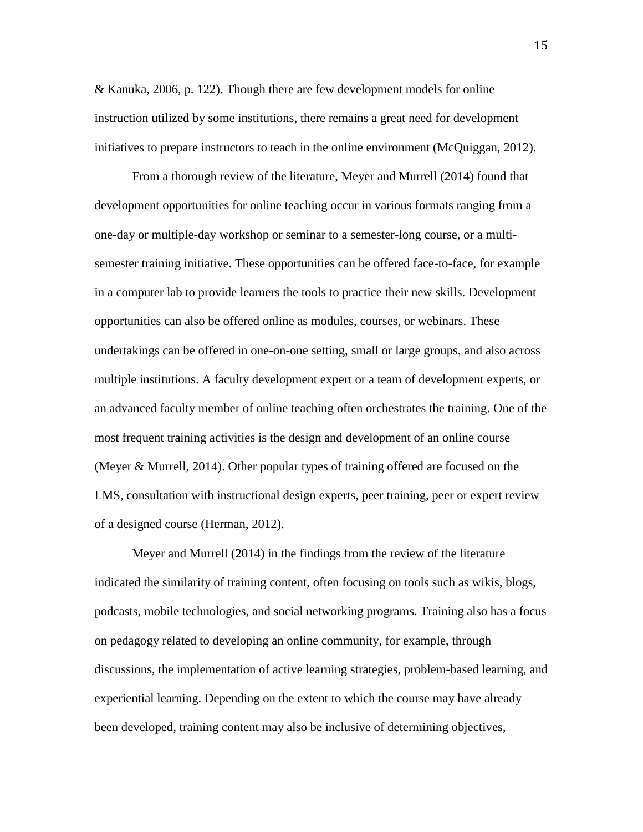& Kanuka, 2006, p. 122). Though there are few development models for online instruction utilized by some institutions, there remains a great need for development initiatives to prepare instructors to teach in the online environment (McQuiggan, 2012).

From a thorough review of the literature, Meyer and Murrell (2014) found that development opportunities for online teaching occur in various formats ranging from a one-day or multiple-day workshop or seminar to a semester-long course, or a multisemester training initiative. These opportunities can be offered face-to-face, for example in a computer lab to provide learners the tools to practice their new skills. Development opportunities can also be offered online as modules, courses, or webinars. These undertakings can be offered in one-on-one setting, small or large groups, and also across multiple institutions. A faculty development expert or a team of development experts, or an advanced faculty member of online teaching often orchestrates the training. One of the most frequent training activities is the design and development of an online course (Meyer & Murrell, 2014). Other popular types of training offered are focused on the LMS, consultation with instructional design experts, peer training, peer or expert review of a designed course (Herman, 2012).

Meyer and Murrell (2014) in the findings from the review of the literature indicated the similarity of training content, often focusing on tools such as wikis, blogs, podcasts, mobile technologies, and social networking programs. Training also has a focus on pedagogy related to developing an online community, for example, through discussions, the implementation of active learning strategies, problem-based learning, and experiential learning. Depending on the extent to which the course may have already been developed, training content may also be inclusive of determining objectives,

15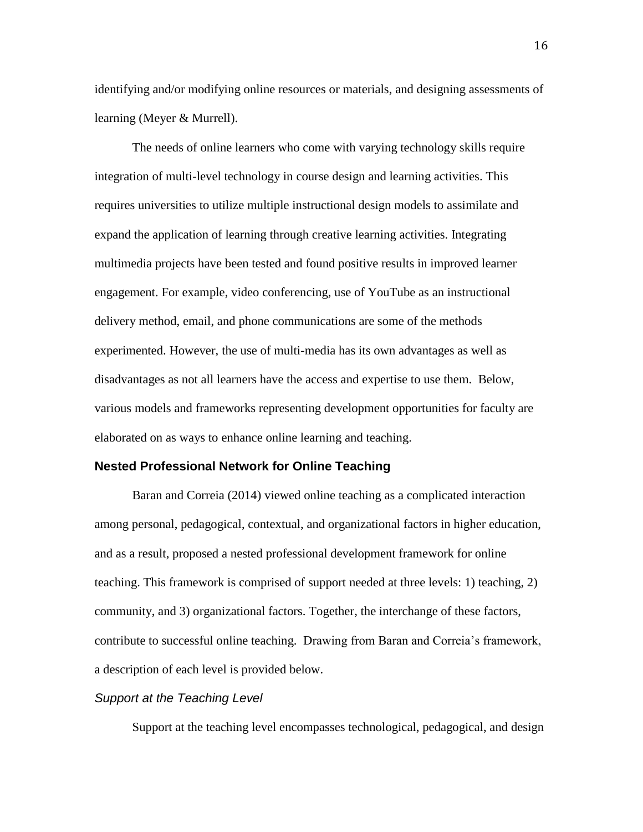identifying and/or modifying online resources or materials, and designing assessments of learning (Meyer & Murrell).

The needs of online learners who come with varying technology skills require integration of multi-level technology in course design and learning activities. This requires universities to utilize multiple instructional design models to assimilate and expand the application of learning through creative learning activities. Integrating multimedia projects have been tested and found positive results in improved learner engagement. For example, video conferencing, use of YouTube as an instructional delivery method, email, and phone communications are some of the methods experimented. However, the use of multi-media has its own advantages as well as disadvantages as not all learners have the access and expertise to use them. Below, various models and frameworks representing development opportunities for faculty are elaborated on as ways to enhance online learning and teaching.

#### **Nested Professional Network for Online Teaching**

Baran and Correia (2014) viewed online teaching as a complicated interaction among personal, pedagogical, contextual, and organizational factors in higher education, and as a result, proposed a nested professional development framework for online teaching. This framework is comprised of support needed at three levels: 1) teaching, 2) community, and 3) organizational factors. Together, the interchange of these factors, contribute to successful online teaching. Drawing from Baran and Correia's framework, a description of each level is provided below.

#### *Support at the Teaching Level*

Support at the teaching level encompasses technological, pedagogical, and design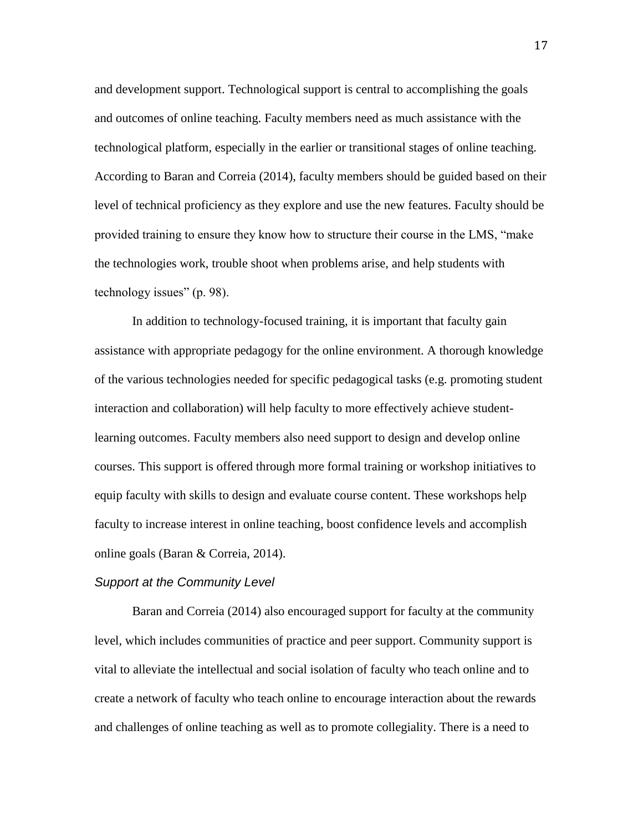and development support. Technological support is central to accomplishing the goals and outcomes of online teaching. Faculty members need as much assistance with the technological platform, especially in the earlier or transitional stages of online teaching. According to Baran and Correia (2014), faculty members should be guided based on their level of technical proficiency as they explore and use the new features. Faculty should be provided training to ensure they know how to structure their course in the LMS, "make the technologies work, trouble shoot when problems arise, and help students with technology issues" (p. 98).

In addition to technology-focused training, it is important that faculty gain assistance with appropriate pedagogy for the online environment. A thorough knowledge of the various technologies needed for specific pedagogical tasks (e.g. promoting student interaction and collaboration) will help faculty to more effectively achieve studentlearning outcomes. Faculty members also need support to design and develop online courses. This support is offered through more formal training or workshop initiatives to equip faculty with skills to design and evaluate course content. These workshops help faculty to increase interest in online teaching, boost confidence levels and accomplish online goals (Baran & Correia, 2014).

#### *Support at the Community Level*

Baran and Correia (2014) also encouraged support for faculty at the community level, which includes communities of practice and peer support. Community support is vital to alleviate the intellectual and social isolation of faculty who teach online and to create a network of faculty who teach online to encourage interaction about the rewards and challenges of online teaching as well as to promote collegiality. There is a need to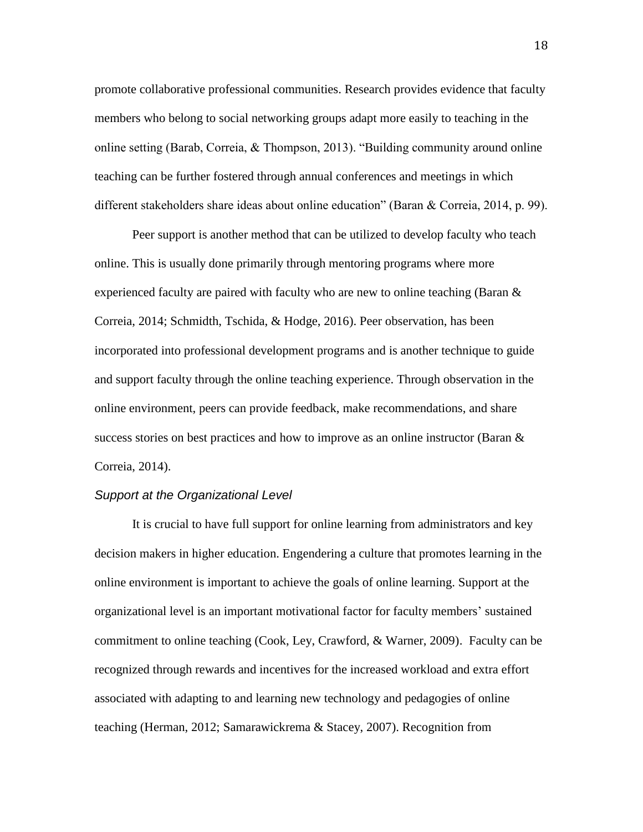promote collaborative professional communities. Research provides evidence that faculty members who belong to social networking groups adapt more easily to teaching in the online setting (Barab, Correia, & Thompson, 2013). "Building community around online teaching can be further fostered through annual conferences and meetings in which different stakeholders share ideas about online education" (Baran & Correia, 2014, p. 99).

Peer support is another method that can be utilized to develop faculty who teach online. This is usually done primarily through mentoring programs where more experienced faculty are paired with faculty who are new to online teaching (Baran  $\&$ Correia, 2014; Schmidth, Tschida, & Hodge, 2016). Peer observation, has been incorporated into professional development programs and is another technique to guide and support faculty through the online teaching experience. Through observation in the online environment, peers can provide feedback, make recommendations, and share success stories on best practices and how to improve as an online instructor (Baran & Correia, 2014).

#### *Support at the Organizational Level*

It is crucial to have full support for online learning from administrators and key decision makers in higher education. Engendering a culture that promotes learning in the online environment is important to achieve the goals of online learning. Support at the organizational level is an important motivational factor for faculty members' sustained commitment to online teaching (Cook, Ley, Crawford, & Warner, 2009). Faculty can be recognized through rewards and incentives for the increased workload and extra effort associated with adapting to and learning new technology and pedagogies of online teaching (Herman, 2012; Samarawickrema & Stacey, 2007). Recognition from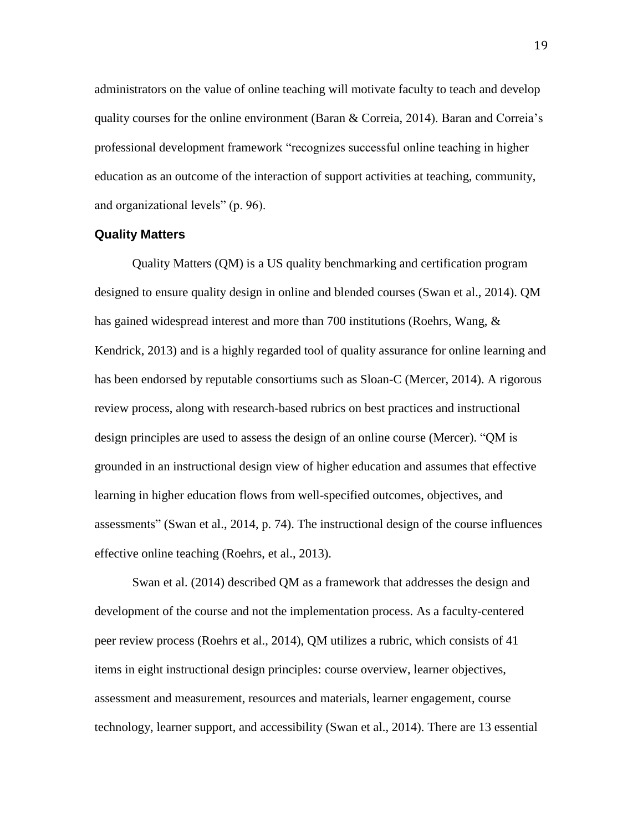administrators on the value of online teaching will motivate faculty to teach and develop quality courses for the online environment (Baran & Correia, 2014). Baran and Correia's professional development framework "recognizes successful online teaching in higher education as an outcome of the interaction of support activities at teaching, community, and organizational levels" (p. 96).

#### **Quality Matters**

Quality Matters (QM) is a US quality benchmarking and certification program designed to ensure quality design in online and blended courses (Swan et al., 2014). QM has gained widespread interest and more than 700 institutions (Roehrs, Wang, & Kendrick, 2013) and is a highly regarded tool of quality assurance for online learning and has been endorsed by reputable consortiums such as Sloan-C (Mercer, 2014). A rigorous review process, along with research-based rubrics on best practices and instructional design principles are used to assess the design of an online course (Mercer). "QM is grounded in an instructional design view of higher education and assumes that effective learning in higher education flows from well-specified outcomes, objectives, and assessments" (Swan et al., 2014, p. 74). The instructional design of the course influences effective online teaching (Roehrs, et al., 2013).

Swan et al. (2014) described QM as a framework that addresses the design and development of the course and not the implementation process. As a faculty-centered peer review process (Roehrs et al., 2014), QM utilizes a rubric, which consists of 41 items in eight instructional design principles: course overview, learner objectives, assessment and measurement, resources and materials, learner engagement, course technology, learner support, and accessibility (Swan et al., 2014). There are 13 essential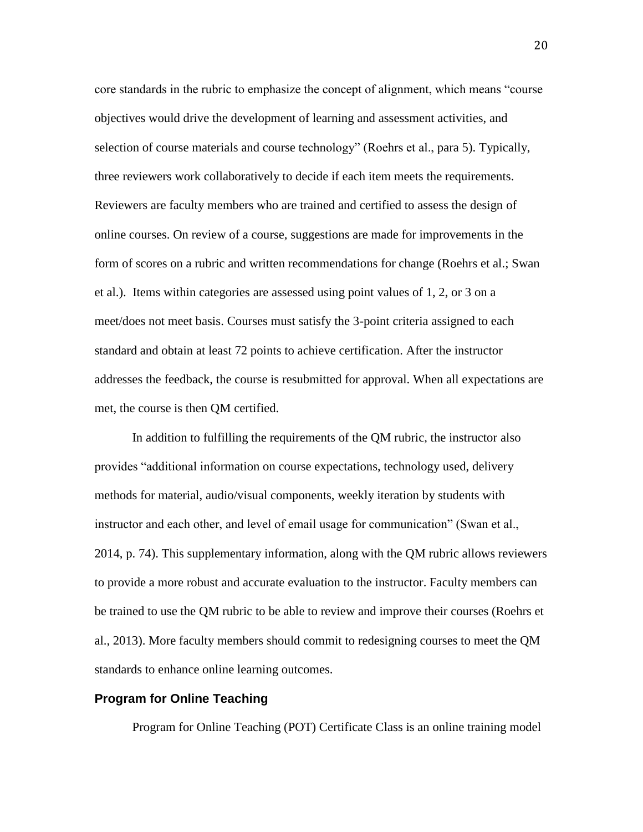core standards in the rubric to emphasize the concept of alignment, which means "course objectives would drive the development of learning and assessment activities, and selection of course materials and course technology" (Roehrs et al., para 5). Typically, three reviewers work collaboratively to decide if each item meets the requirements. Reviewers are faculty members who are trained and certified to assess the design of online courses. On review of a course, suggestions are made for improvements in the form of scores on a rubric and written recommendations for change (Roehrs et al.; Swan et al.). Items within categories are assessed using point values of 1, 2, or 3 on a meet/does not meet basis. Courses must satisfy the 3-point criteria assigned to each standard and obtain at least 72 points to achieve certification. After the instructor addresses the feedback, the course is resubmitted for approval. When all expectations are met, the course is then QM certified.

In addition to fulfilling the requirements of the QM rubric, the instructor also provides "additional information on course expectations, technology used, delivery methods for material, audio/visual components, weekly iteration by students with instructor and each other, and level of email usage for communication" (Swan et al., 2014, p. 74). This supplementary information, along with the QM rubric allows reviewers to provide a more robust and accurate evaluation to the instructor. Faculty members can be trained to use the QM rubric to be able to review and improve their courses (Roehrs et al., 2013). More faculty members should commit to redesigning courses to meet the QM standards to enhance online learning outcomes.

#### **Program for Online Teaching**

Program for Online Teaching (POT) Certificate Class is an online training model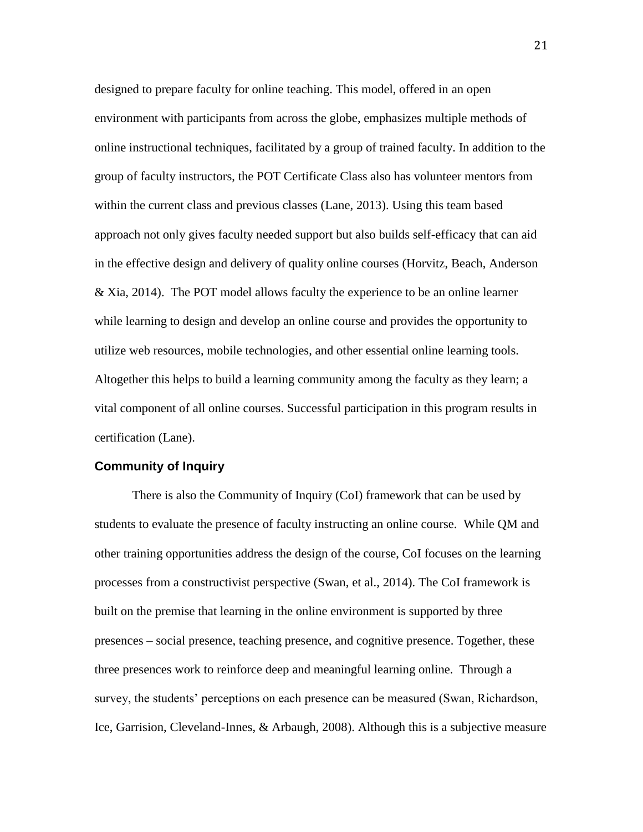designed to prepare faculty for online teaching. This model, offered in an open environment with participants from across the globe, emphasizes multiple methods of online instructional techniques, facilitated by a group of trained faculty. In addition to the group of faculty instructors, the POT Certificate Class also has volunteer mentors from within the current class and previous classes (Lane, 2013). Using this team based approach not only gives faculty needed support but also builds self-efficacy that can aid in the effective design and delivery of quality online courses (Horvitz, Beach, Anderson & Xia, 2014). The POT model allows faculty the experience to be an online learner while learning to design and develop an online course and provides the opportunity to utilize web resources, mobile technologies, and other essential online learning tools. Altogether this helps to build a learning community among the faculty as they learn; a vital component of all online courses. Successful participation in this program results in certification (Lane).

# **Community of Inquiry**

There is also the Community of Inquiry (CoI) framework that can be used by students to evaluate the presence of faculty instructing an online course. While QM and other training opportunities address the design of the course, CoI focuses on the learning processes from a constructivist perspective (Swan, et al., 2014). The CoI framework is built on the premise that learning in the online environment is supported by three presences – social presence, teaching presence, and cognitive presence. Together, these three presences work to reinforce deep and meaningful learning online. Through a survey, the students' perceptions on each presence can be measured (Swan, Richardson, Ice, Garrision, Cleveland-Innes, & Arbaugh, 2008). Although this is a subjective measure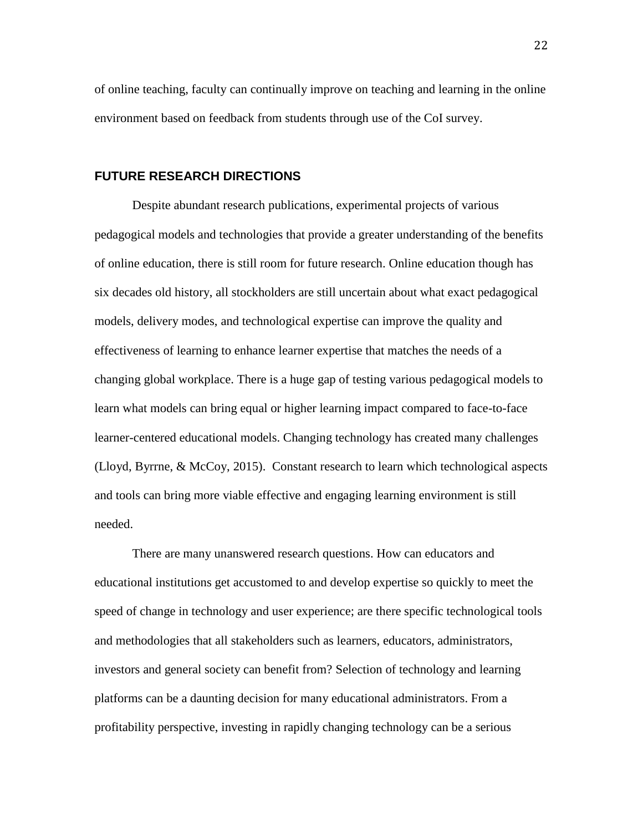of online teaching, faculty can continually improve on teaching and learning in the online environment based on feedback from students through use of the CoI survey.

# **FUTURE RESEARCH DIRECTIONS**

Despite abundant research publications, experimental projects of various pedagogical models and technologies that provide a greater understanding of the benefits of online education, there is still room for future research. Online education though has six decades old history, all stockholders are still uncertain about what exact pedagogical models, delivery modes, and technological expertise can improve the quality and effectiveness of learning to enhance learner expertise that matches the needs of a changing global workplace. There is a huge gap of testing various pedagogical models to learn what models can bring equal or higher learning impact compared to face-to-face learner-centered educational models. Changing technology has created many challenges (Lloyd, Byrrne, & McCoy, 2015). Constant research to learn which technological aspects and tools can bring more viable effective and engaging learning environment is still needed.

There are many unanswered research questions. How can educators and educational institutions get accustomed to and develop expertise so quickly to meet the speed of change in technology and user experience; are there specific technological tools and methodologies that all stakeholders such as learners, educators, administrators, investors and general society can benefit from? Selection of technology and learning platforms can be a daunting decision for many educational administrators. From a profitability perspective, investing in rapidly changing technology can be a serious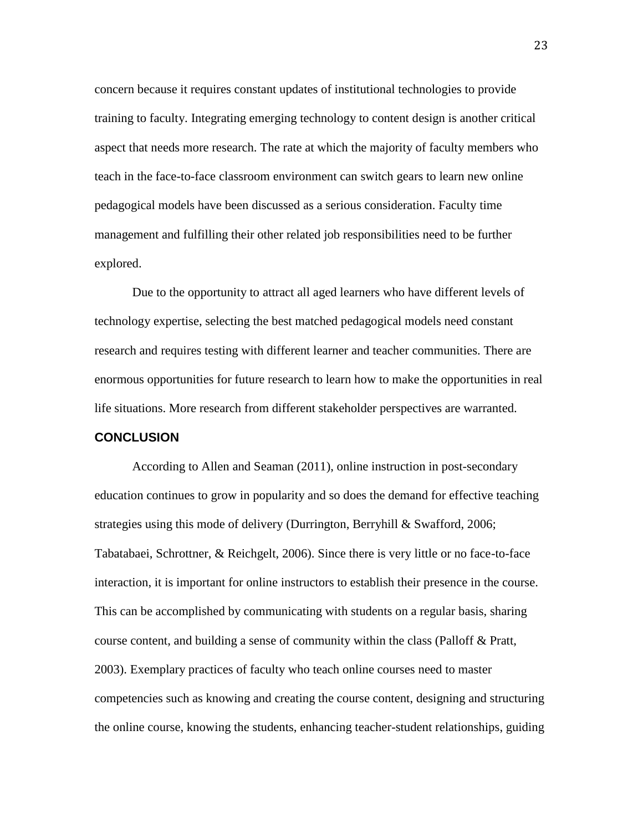concern because it requires constant updates of institutional technologies to provide training to faculty. Integrating emerging technology to content design is another critical aspect that needs more research. The rate at which the majority of faculty members who teach in the face-to-face classroom environment can switch gears to learn new online pedagogical models have been discussed as a serious consideration. Faculty time management and fulfilling their other related job responsibilities need to be further explored.

Due to the opportunity to attract all aged learners who have different levels of technology expertise, selecting the best matched pedagogical models need constant research and requires testing with different learner and teacher communities. There are enormous opportunities for future research to learn how to make the opportunities in real life situations. More research from different stakeholder perspectives are warranted.

#### **CONCLUSION**

According to Allen and Seaman (2011), online instruction in post-secondary education continues to grow in popularity and so does the demand for effective teaching strategies using this mode of delivery (Durrington, Berryhill & Swafford, 2006; Tabatabaei, Schrottner, & Reichgelt, 2006). Since there is very little or no face-to-face interaction, it is important for online instructors to establish their presence in the course. This can be accomplished by communicating with students on a regular basis, sharing course content, and building a sense of community within the class (Palloff & Pratt, 2003). Exemplary practices of faculty who teach online courses need to master competencies such as knowing and creating the course content, designing and structuring the online course, knowing the students, enhancing teacher-student relationships, guiding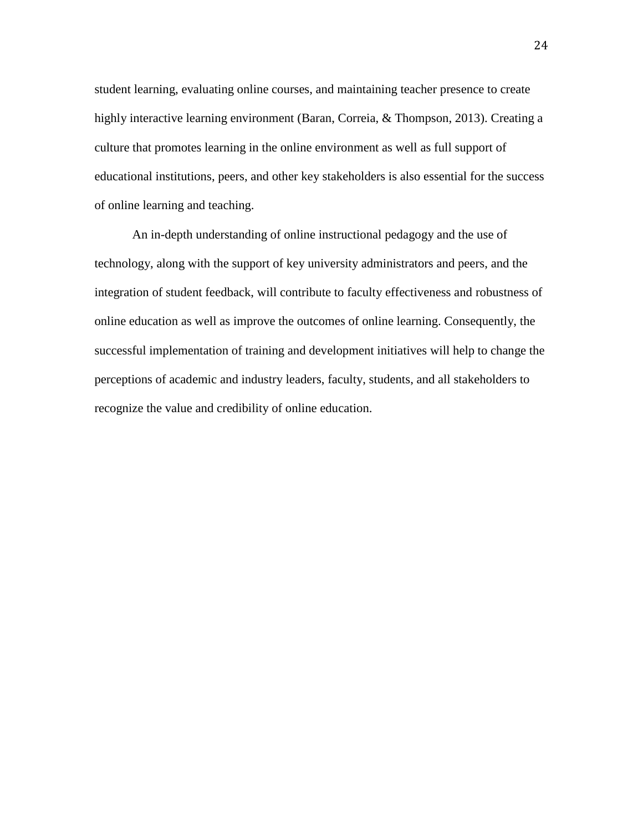student learning, evaluating online courses, and maintaining teacher presence to create highly interactive learning environment (Baran, Correia, & Thompson, 2013). Creating a culture that promotes learning in the online environment as well as full support of educational institutions, peers, and other key stakeholders is also essential for the success of online learning and teaching.

An in-depth understanding of online instructional pedagogy and the use of technology, along with the support of key university administrators and peers, and the integration of student feedback, will contribute to faculty effectiveness and robustness of online education as well as improve the outcomes of online learning. Consequently, the successful implementation of training and development initiatives will help to change the perceptions of academic and industry leaders, faculty, students, and all stakeholders to recognize the value and credibility of online education.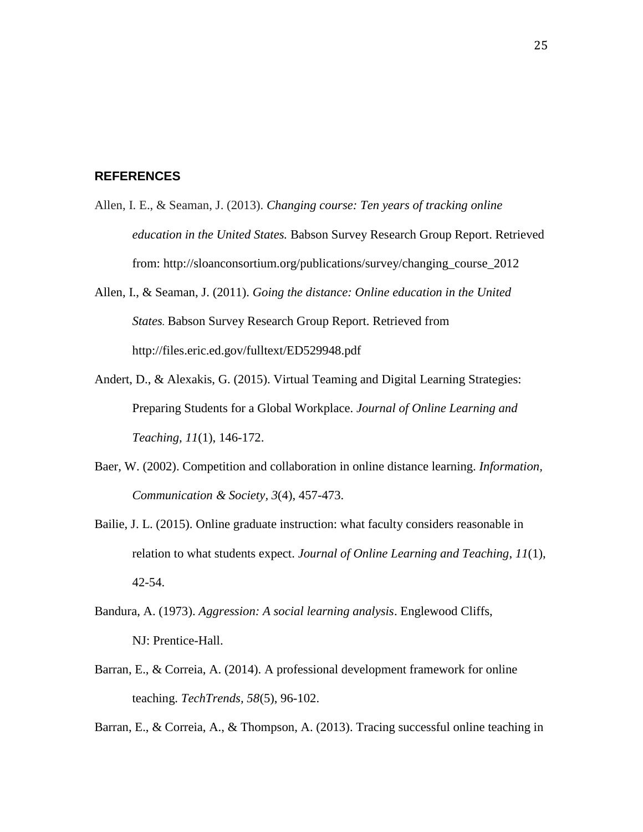# **REFERENCES**

- Allen, I. E., & Seaman, J. (2013). *Changing course: Ten years of tracking online education in the United States.* Babson Survey Research Group Report. Retrieved from: http://sloanconsortium.org/publications/survey/changing\_course\_2012
- Allen, I., & Seaman, J. (2011). *Going the distance: Online education in the United States.* Babson Survey Research Group Report. Retrieved from http://files.eric.ed.gov/fulltext/ED529948.pdf
- Andert, D., & Alexakis, G. (2015). Virtual Teaming and Digital Learning Strategies: Preparing Students for a Global Workplace. *Journal of Online Learning and Teaching, 11*(1), 146-172.
- Baer, W. (2002). Competition and collaboration in online distance learning. *[Information,](javascript:__doLinkPostBack() [Communication](javascript:__doLinkPostBack() & Society, 3*(4), 457-473.
- Bailie, J. L. (2015). Online graduate instruction: what faculty considers reasonable in relation to what students expect. *Journal of Online Learning and Teaching*, *11*(1), 42-54.
- Bandura, A. (1973). *Aggression: A social learning analysis*. Englewood Cliffs, NJ: Prentice-Hall.
- Barran, E., & Correia, A. (2014). A professional development framework for online teaching. *TechTrends, 58*(5), 96-102.
- Barran, E., & Correia, A., & Thompson, A. (2013). Tracing successful online teaching in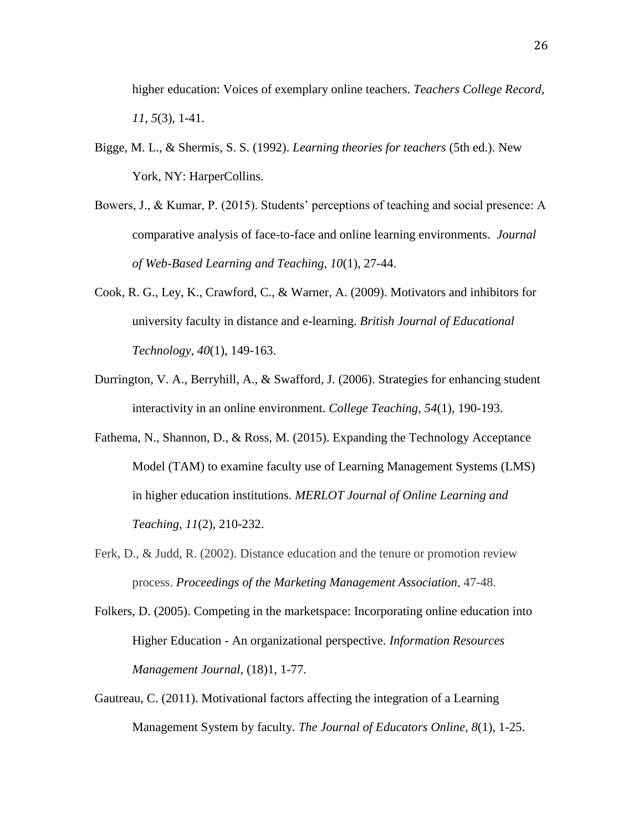higher education: Voices of exemplary online teachers. *Teachers College Record, 11, 5*(3), 1-41.

- Bigge, M. L., & Shermis, S. S. (1992). *Learning theories for teachers* (5th ed.). New York, NY: HarperCollins.
- Bowers, J., & Kumar, P. (2015). Students' perceptions of teaching and social presence: A comparative analysis of face-to-face and online learning environments. *Journal of Web-Based Learning and Teaching, 10*(1), 27-44.
- Cook, R. G., Ley, K., Crawford, C., & Warner, A. (2009). Motivators and inhibitors for university faculty in distance and e-learning. *British Journal of Educational Technology*, *40*(1), 149-163.
- Durrington, V. A., Berryhill, A., & Swafford, J. (2006). Strategies for enhancing student interactivity in an online environment. *College Teaching, 54*(1), 190-193.
- Fathema, N., Shannon, D., & Ross, M. (2015). Expanding the Technology Acceptance Model (TAM) to examine faculty use of Learning Management Systems (LMS) in higher education institutions. *MERLOT Journal of Online Learning and Teaching, 11*(2), 210-232.
- Ferk, D., & Judd, R. (2002). Distance education and the tenure or promotion review process. *Proceedings of the Marketing [Management](javascript:__doLinkPostBack() Association*, 47-48.

Gautreau, C. (2011). Motivational factors affecting the integration of a Learning Management System by faculty. *The Journal of Educators Online, 8*(1), 1-25.

Folkers, D. (2005). Competing in the marketspace: Incorporating online education into Higher Education - An organizational perspective. *Information Resources Management Journal*, (18)1, 1-77.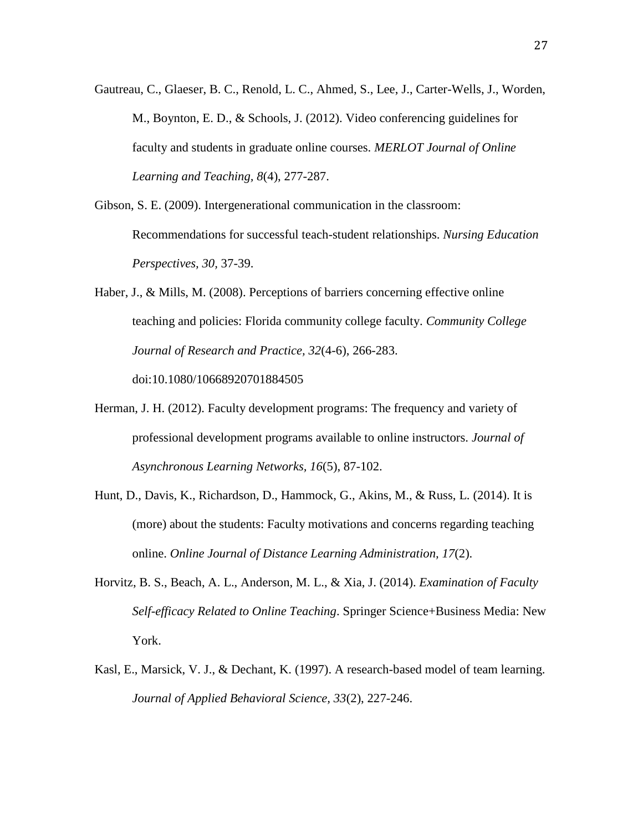Gautreau, C., Glaeser, B. C., Renold, L. C., Ahmed, S., Lee, J., Carter-Wells, J., Worden, M., Boynton, E. D., & Schools, J. (2012). Video conferencing guidelines for faculty and students in graduate online courses. *MERLOT Journal of Online Learning and Teaching, 8*(4), 277-287.

Gibson, S. E. (2009). Intergenerational communication in the classroom: Recommendations for successful teach-student relationships. *Nursing Education Perspectives, 30,* 37-39.

Haber, J., & Mills, M. (2008). Perceptions of barriers concerning effective online teaching and policies: Florida community college faculty. *Community College Journal of Research and Practice, 32*(4-6), 266-283.

doi:10.1080/10668920701884505

- Herman, J. H. (2012). Faculty development programs: The frequency and variety of professional development programs available to online instructors. *Journal of Asynchronous Learning Networks, 16*(5), 87-102.
- Hunt, D., Davis, K., Richardson, D., Hammock, G., Akins, M., & Russ, L. (2014). It is (more) about the students: Faculty motivations and concerns regarding teaching online. *Online Journal of Distance Learning Administration, 17*(2).
- Horvitz, B. S., Beach, A. L., Anderson, M. L., & Xia, J. (2014). *Examination of Faculty Self-efficacy Related to Online Teaching*. Springer Science+Business Media: New York.
- Kasl, E., Marsick, V. J., & Dechant, K. (1997). A research-based model of team learning. *Journal of Applied Behavioral Science, 33*(2), 227-246.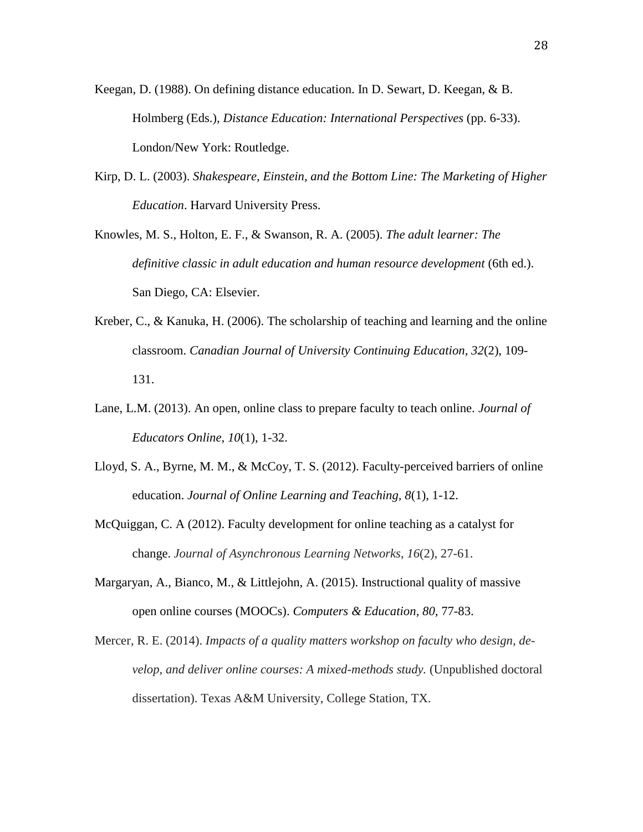- Keegan, D. (1988). On defining distance education. In D. Sewart, D. Keegan, & B. Holmberg (Eds.), *Distance Education: International Perspectives* (pp. 6-33). London/New York: Routledge.
- Kirp, D. L. (2003). *[Shakespeare, Einstein, and the Bottom Line: The Marketing of Higher](https://books.google.com/books?id=LUHDJkOaD_kC&pg=PA251&dq=%22Jones+International+University%22&num=100&as_brr=3&client=firefox-a&sig=ACfU3U0G2oncF5HCHkD90-D0bnIAuvbg5A)  [Education](https://books.google.com/books?id=LUHDJkOaD_kC&pg=PA251&dq=%22Jones+International+University%22&num=100&as_brr=3&client=firefox-a&sig=ACfU3U0G2oncF5HCHkD90-D0bnIAuvbg5A)*. Harvard University Press.
- Knowles, M. S., Holton, E. F., & Swanson, R. A. (2005). *The adult learner: The definitive classic in adult education and human resource development* (6th ed.). San Diego, CA: Elsevier.
- Kreber, C., & Kanuka, H. (2006). The scholarship of teaching and learning and the online classroom. *Canadian Journal of University Continuing Education, 32*(2), 109- 131.
- Lane, L.M. (2013). An open, online class to prepare faculty to teach online. *Journal of Educators Online*, *10*(1), 1-32.
- Lloyd, S. A., Byrne, M. M., & McCoy, T. S. (2012). Faculty-perceived barriers of online education. *Journal of Online Learning and Teaching, 8*(1), 1-12.
- McQuiggan, C. A (2012). Faculty development for online teaching as a catalyst for change. *Journal of Asynchronous Learning Networks*, *16*(2), 27-61.
- Margaryan, A., Bianco, M., & Littlejohn, A. (2015). Instructional quality of massive open online courses (MOOCs). *Computers & Education, 80*, 77-83.
- Mercer, R. E. (2014). *Impacts of a quality matters workshop on faculty who design, develop, and deliver online courses: A mixed-methods study.* (Unpublished doctoral dissertation). Texas A&M University, College Station, TX.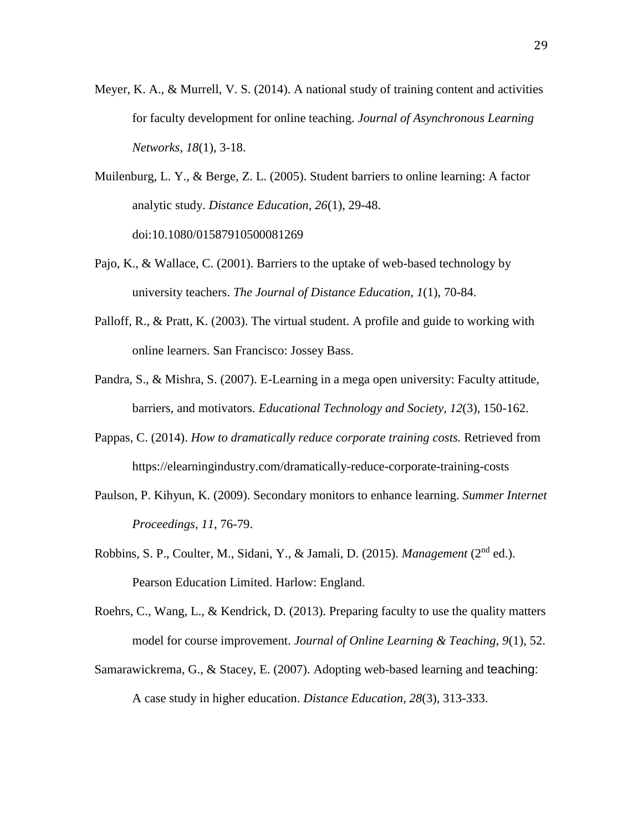- Meyer, K. A., & Murrell, V. S. (2014). A national study of training content and activities for faculty development for online teaching. *Journal of Asynchronous Learning Networks, 18*(1), 3-18.
- Muilenburg, L. Y., & Berge, Z. L. (2005). Student barriers to online learning: A factor analytic study. *Distance Education, 26*(1), 29-48. doi:10.1080/01587910500081269
- Pajo, K., & Wallace, C. (2001). Barriers to the uptake of web-based technology by university teachers. *The Journal of Distance Education, 1*(1), 70-84.
- Palloff, R., & Pratt, K. (2003). The virtual student. A profile and guide to working with online learners. San Francisco: Jossey Bass.
- Pandra, S., & Mishra, S. (2007). E-Learning in a mega open university: Faculty attitude, barriers, and motivators. *Educational Technology and Society, 12*(3), 150-162.
- Pappas, C. (2014). *How to dramatically reduce corporate training costs.* Retrieved from https://elearningindustry.com/dramatically-reduce-corporate-training-costs
- Paulson, P. Kihyun, K. (2009). Secondary monitors to enhance learning. *[Summer](javascript:__doLinkPostBack() Internet [Proceedings,](javascript:__doLinkPostBack() 11*, 76-79.
- Robbins, S. P., Coulter, M., Sidani, Y., & Jamali, D. (2015). *Management* (2<sup>nd</sup> ed.). Pearson Education Limited. Harlow: England.
- Roehrs, C., Wang, L., & Kendrick, D. (2013). Preparing faculty to use the quality matters model for course improvement. *Journal of Online Learning & Teaching, 9*(1), 52.
- Samarawickrema, G., & Stacey, E. (2007). Adopting web-based learning and teaching: A case study in higher education. *Distance Education, 28*(3), 313-333.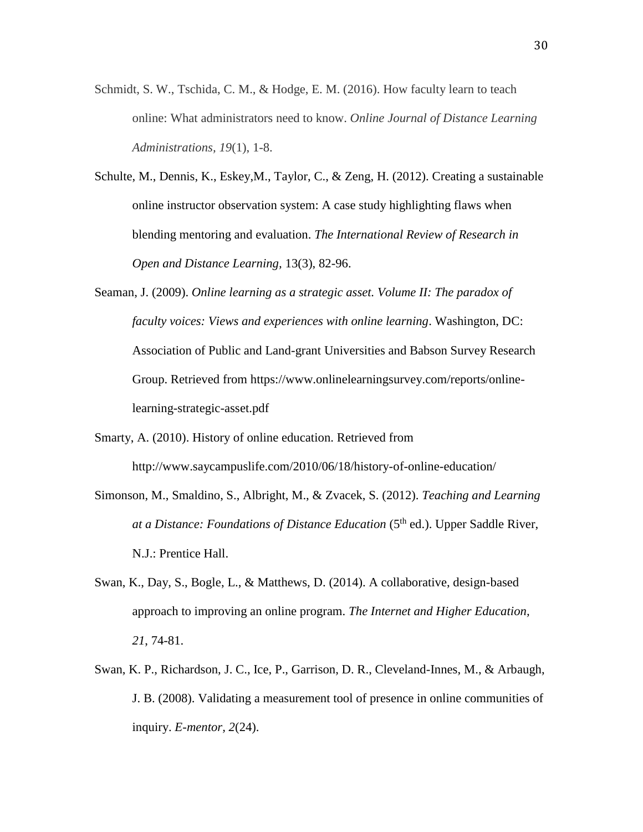- Schmidt, S. W., Tschida, C. M., & Hodge, E. M. (2016). How faculty learn to teach online: What administrators need to know. *Online Journal of Distance Learning Administrations, 19*(1), 1-8.
- Schulte, M., Dennis, K., Eskey,M., Taylor, C., & Zeng, H. (2012). Creating a sustainable online instructor observation system: A case study highlighting flaws when blending mentoring and evaluation. *The International Review of Research in Open and Distance Learning,* 13(3), 82-96.
- Seaman, J. (2009). *Online learning as a strategic asset. Volume II: The paradox of faculty voices: Views and experiences with online learning*. Washington, DC: Association of Public and Land-grant Universities and Babson Survey Research Group. Retrieved from https://www.onlinelearningsurvey.com/reports/onlinelearning-strategic-asset.pdf
- Smarty, A. (2010). History of online education. Retrieved from http://www.saycampuslife.com/2010/06/18/history-of-online-education/
- Simonson, M., Smaldino, S., Albright, M., & Zvacek, S. (2012). *Teaching and Learning at a Distance: Foundations of Distance Education* (5<sup>th</sup> ed.). Upper Saddle River, N.J.: Prentice Hall.
- Swan, K., Day, S., Bogle, L., & Matthews, D. (2014). A collaborative, design-based approach to improving an online program. *The Internet and Higher Education, 21*, 74-81.
- Swan, K. P., Richardson, J. C., Ice, P., Garrison, D. R., Cleveland-Innes, M., & Arbaugh, J. B. (2008). Validating a measurement tool of presence in online communities of inquiry. *E-mentor, 2*(24).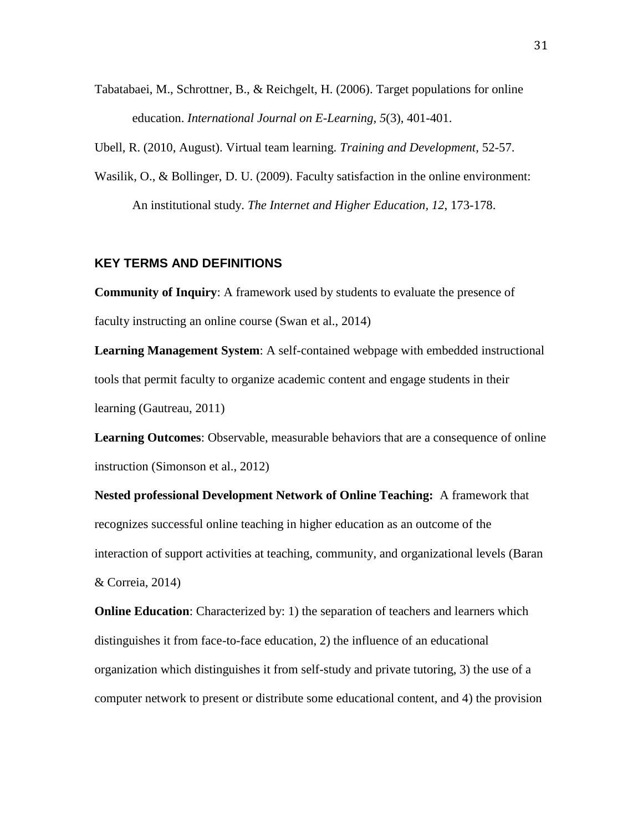Tabatabaei, M., Schrottner, B., & Reichgelt, H. (2006). Target populations for online education. *International Journal on E-Learning, 5*(3), 401-401.

Ubell, R. (2010, August). Virtual team learning. *Training and Development,* 52-57.

Wasilik, O., & Bollinger, D. U. (2009). Faculty satisfaction in the online environment: An institutional study. *The Internet and Higher Education, 12*, 173-178.

#### **KEY TERMS AND DEFINITIONS**

**Community of Inquiry**: A framework used by students to evaluate the presence of faculty instructing an online course (Swan et al., 2014)

**Learning Management System**: A self-contained webpage with embedded instructional tools that permit faculty to organize academic content and engage students in their learning (Gautreau, 2011)

**Learning Outcomes**: Observable, measurable behaviors that are a consequence of online instruction (Simonson et al., 2012)

**Nested professional Development Network of Online Teaching:** A framework that recognizes successful online teaching in higher education as an outcome of the interaction of support activities at teaching, community, and organizational levels (Baran & Correia, 2014)

**Online Education**: Characterized by: 1) the separation of teachers and learners which distinguishes it from face-to-face education, 2) the influence of an educational organization which distinguishes it from self-study and private tutoring, 3) the use of a computer network to present or distribute some educational content, and 4) the provision